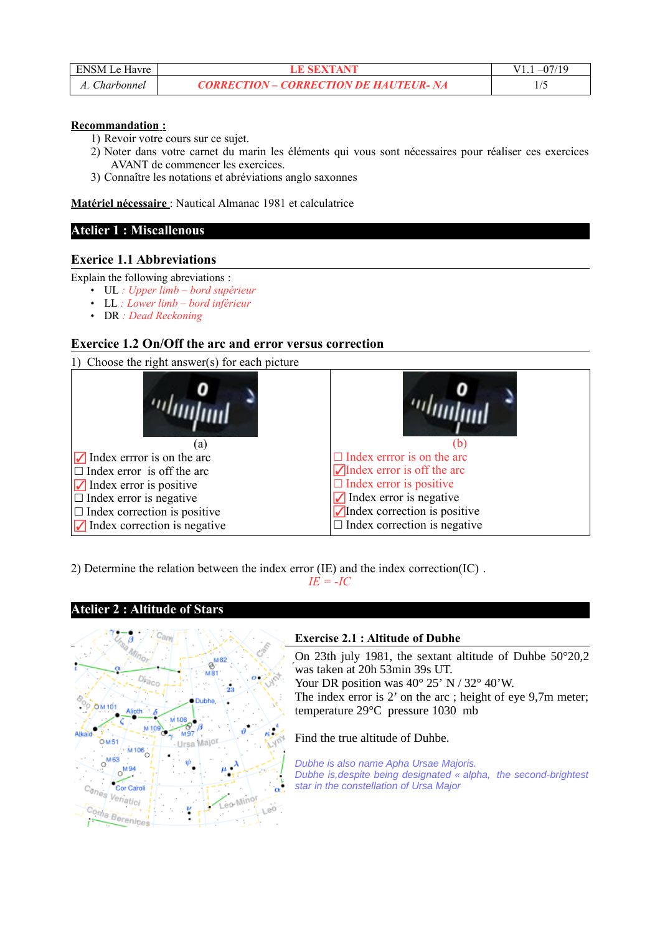| <b>ENSM Le Havre</b> |                                               |  |
|----------------------|-----------------------------------------------|--|
| Charbonnel           | <b>CORRECTION – CORRECTION DE HAUTEUR- NA</b> |  |

### **Recommandation :**

1) Revoir votre cours sur ce sujet.

- 2) Noter dans votre carnet du marin les éléments qui vous sont nécessaires pour réaliser ces exercices AVANT de commencer les exercices.
- 3) Connaître les notations et abréviations anglo saxonnes

 **Matériel nécessaire** : Nautical Almanac 1981 et calculatrice

## **Atelier 1 : Miscallenous**

## **Exerice 1.1 Abbreviations**

Explain the following abreviations :

- UL *: Upper limb bord supérieur*
- LL *: Lower limb bord inférieur*
- DR *: Dead Reckoning*

# **Exercice 1.2 On/Off the arc and error versus correction**

1) Choose the right answer(s) for each picture



2) Determine the relation between the index error (IE) and the index correction(IC) .

 $I E = -I C$ 



**Atelier 2 : Altitude of Stars**

### **Exercise 2.1 : Altitude of Dubhe**

On 23th july 1981, the sextant altitude of Duhbe 50°20,2 was taken at 20h 53min 39s UT. ́

Your DR position was 40° 25' N / 32° 40'W.

The index error is 2' on the arc ; height of eye 9,7m meter; temperature 29°C pressure 1030 mb

Find the true altitude of Duhbe.

*Dubhe is also name Apha Ursae Majoris. Dubhe is,despite being designated « alpha, the second-brightest star in the constellation of Ursa Major*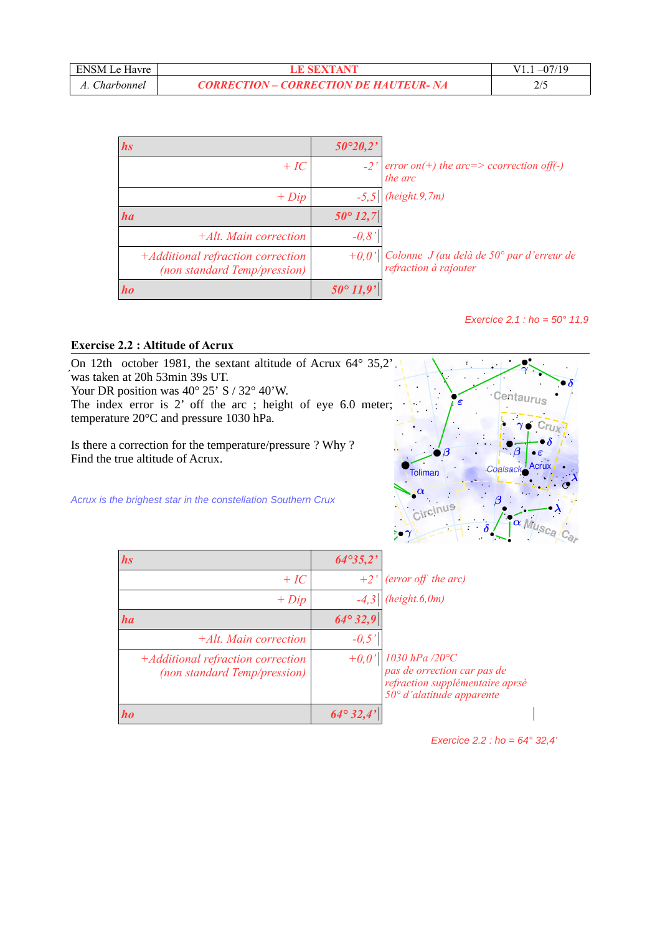| <b>ENSM Le Havre</b> |                                               |      |
|----------------------|-----------------------------------------------|------|
| Charbonnel           | <b>CORRECTION – CORRECTION DE HAUTEUR- NA</b> | ن اڪ |

| <i>hs</i>                                                                | $50^{\circ}20.2'$ |                                                                          |
|--------------------------------------------------------------------------|-------------------|--------------------------------------------------------------------------|
| $+IC$                                                                    |                   | $-2'$ error on(+) the arc=> ccorrection off(-)<br>the arc                |
| $+ Dip$                                                                  |                   | $-5,5$ (height.9,7m)                                                     |
| ha                                                                       | $50^{\circ} 12,7$ |                                                                          |
| $+Alt.$ Main correction                                                  | $-0.8'$           |                                                                          |
| +Additional refraction correction<br><i>(non standard Temp/pression)</i> |                   | +0,0' Colonne J (au delà de 50° par d'erreur de<br>refraction à rajouter |
| ho                                                                       |                   |                                                                          |

*Exercice 2.1 : ho = 50° 11,9*

## **Exercise 2.2 : Altitude of Acrux**

On 12th october 1981, the sextant altitude of Acrux 64° 35,2' was taken at 20h 53min 39s UT. ́

Your DR position was 40° 25' S / 32° 40'W.

The index error is 2' off the arc ; height of eye 6.0 meter; temperature 20°C and pressure 1030 hPa.

Is there a correction for the temperature/pressure ? Why ? Find the true altitude of Acrux.





| <i>hs</i>                                                         | $64^{\circ}35,2'$ |                                                                                                                                     |
|-------------------------------------------------------------------|-------------------|-------------------------------------------------------------------------------------------------------------------------------------|
| $+IC$                                                             | $+2'$             | (error off the arc)                                                                                                                 |
| $+ Dip$                                                           |                   | (height.6, 0m)                                                                                                                      |
| ha                                                                | $64^{\circ}32,9$  |                                                                                                                                     |
| +Alt. Main correction                                             | $-0.5'$           |                                                                                                                                     |
| +Additional refraction correction<br>(non standard Temp/pression) | $+0.0'$           | $1030$ hPa $/20^{\circ}\!C$<br>pas de orrection car pas de<br>refraction supplémentaire aprsè<br>$50^{\circ}$ d'alatitude apparente |
| <i>ho</i>                                                         | $64^{\circ}32.4$  |                                                                                                                                     |

*Exercice 2.2 : ho = 64° 32,4'*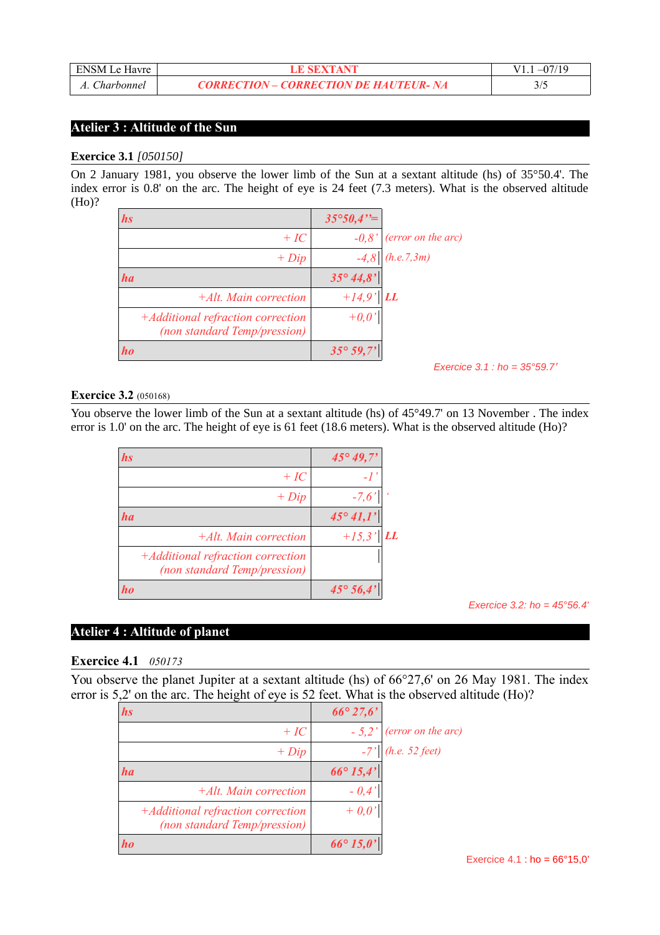| <b>ENSM Le Havre</b> |                                               |  |
|----------------------|-----------------------------------------------|--|
| Charbonnel           | <b>CORRECTION – CORRECTION DE HAUTEUR- NA</b> |  |

# **Atelier 3 : Altitude of the Sun**

#### **Exercice 3.1** *[050150]*

On 2 January 1981, you observe the lower limb of the Sun at a sextant altitude (hs) of 35°50.4'. The index error is 0.8' on the arc. The height of eye is 24 feet (7.3 meters). What is the observed altitude (Ho)?

| hs                                                                | $35^{\circ}50,4"$  |                            |
|-------------------------------------------------------------------|--------------------|----------------------------|
| $+IC$                                                             | $-0.8'$            | $\vert$ (error on the arc) |
| $+ Dip$                                                           | $-4,8$             | (h.e. 7, 3m)               |
| ha                                                                | $35^{\circ} 44,8'$ |                            |
| $+Alt.$ Main correction                                           | $+14,9'$           | <b>LL</b>                  |
| +Additional refraction correction<br>(non standard Temp/pression) | $+0,0'$            |                            |
| ho                                                                | $35^{\circ} 59,7'$ |                            |

*Exercice 3.1 : ho = 35°59.7'*

#### **Exercice 3.2** (050168)

You observe the lower limb of the Sun at a sextant altitude (hs) of 45°49.7' on 13 November. The index error is 1.0' on the arc. The height of eye is 61 feet (18.6 meters). What is the observed altitude (Ho)?

| <i>hs</i> |                                                                   | $45^{\circ}49,7'$ |    |
|-----------|-------------------------------------------------------------------|-------------------|----|
|           | $+IC$                                                             |                   |    |
|           | $+ Dip$                                                           | $-7,6'$           |    |
| ha        |                                                                   | $45^{\circ}41,1'$ |    |
|           | $+Alt$ . Main correction                                          | $+15,3'$          | LI |
|           | +Additional refraction correction<br>(non standard Temp/pression) |                   |    |
|           |                                                                   | $45^{\circ} 56.4$ |    |

*Exercice 3.2: ho = 45°56.4'*

# **Atelier 4 : Altitude of planet**

### **Exercice 4.1** *050173*

You observe the planet Jupiter at a sextant altitude (hs) of  $66^{\circ}27,6'$  on 26 May 1981. The index error is 5,2' on the arc. The height of eye is 52 feet. What is the observed altitude (Ho)?

| <i>hs</i>                                                         | $66^{\circ}27.6'$  |                             |
|-------------------------------------------------------------------|--------------------|-----------------------------|
| $+IC$                                                             |                    | $-5.2$ ' (error on the arc) |
| $+ Dip$                                                           |                    | $\int$ (h.e. 52 feet)       |
| ha                                                                | $66^{\circ} 15,4'$ |                             |
| $+Alt$ . Main correction                                          | $-0.4'$            |                             |
| +Additional refraction correction<br>(non standard Temp/pression) | $+0.0'$            |                             |
| ho                                                                | $66^{\circ} 15,0'$ |                             |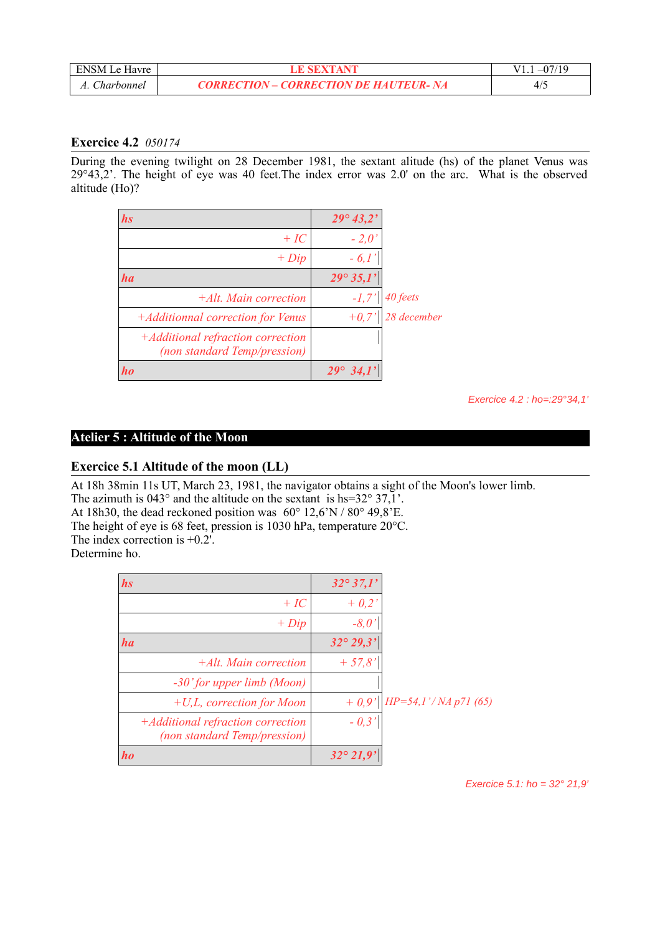| ENSM Le Havre |                                               |      |
|---------------|-----------------------------------------------|------|
| Charbonnel    | <b>CORRECTION – CORRECTION DE HAUTEUR- NA</b> | 21 L |

# **Exercice 4.2** *050174*

During the evening twilight on 28 December 1981, the sextant alitude (hs) of the planet Venus was 29°43,2'. The height of eye was 40 feet.The index error was 2.0' on the arc. What is the observed altitude (Ho)?

| <i>hs</i>                                                         | $29^{\circ} 43.2'$ |             |
|-------------------------------------------------------------------|--------------------|-------------|
| $+IC$                                                             | $-2,0'$            |             |
| $+ Dip$                                                           | $-6,1$             |             |
| ha                                                                | $29^{\circ}35.1'$  |             |
| $+Alt$ . Main correction                                          | $-I,7'$            | 40 feets    |
| +Additionnal correction for Venus                                 | $+0,7$             | 28 december |
| +Additional refraction correction<br>(non standard Temp/pression) |                    |             |
| ho                                                                | $29^\circ$         |             |

*Exercice 4.2 : ho=:29°34,1'*

## **Atelier 5 : Altitude of the Moon**

### **Exercice 5.1 Altitude of the moon (LL)**

At 18h 38min 11s UT, March 23, 1981, the navigator obtains a sight of the Moon's lower limb.

The azimuth is  $043^\circ$  and the altitude on the sextant is hs= $32^\circ$   $37,1'$ .

At 18h30, the dead reckoned position was 60° 12,6'N / 80° 49,8'E.

The height of eye is 68 feet, pression is 1030 hPa, temperature 20°C.

The index correction is +0.2'.

Determine ho.

| <i>hs</i>                                                         | $32^{\circ}37.1'$  |                            |
|-------------------------------------------------------------------|--------------------|----------------------------|
| $+IC$                                                             | $+ 0.2'$           |                            |
| $+ Dip$                                                           | $-8,0'$            |                            |
| ha                                                                | $32^{\circ} 29.3'$ |                            |
| $+Alt$ . Main correction                                          | $+ 57.8'$          |                            |
| $-30'$ for upper limb (Moon)                                      |                    |                            |
| $+U,L$ , correction for Moon                                      | $+0.9'$            | $HP = 54.1' / NA p71 (65)$ |
| +Additional refraction correction<br>(non standard Temp/pression) | $-0.3'$            |                            |
| ho                                                                | $32^{\circ}21,9'$  |                            |

*Exercice 5.1: ho = 32° 21,9'*